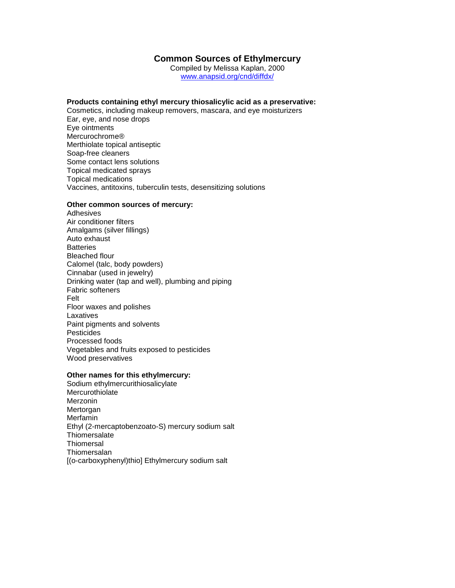# **Common Sources of Ethylmercury**

Compiled by Melissa Kaplan, 2000 www.anapsid.org/cnd/diffdx/

#### **Products containing ethyl mercury thiosalicylic acid as a preservative:**

Cosmetics, including makeup removers, mascara, and eye moisturizers Ear, eye, and nose drops Eye ointments Mercurochrome® Merthiolate topical antiseptic Soap-free cleaners Some contact lens solutions Topical medicated sprays Topical medications Vaccines, antitoxins, tuberculin tests, desensitizing solutions

## **Other common sources of mercury:**

Adhesives Air conditioner filters Amalgams (silver fillings) Auto exhaust **Batteries** Bleached flour Calomel (talc, body powders) Cinnabar (used in jewelry) Drinking water (tap and well), plumbing and piping Fabric softeners Felt Floor waxes and polishes Laxatives Paint pigments and solvents **Pesticides** Processed foods Vegetables and fruits exposed to pesticides Wood preservatives

## **Other names for this ethylmercury:**

Sodium ethylmercurithiosalicylate **Mercurothiolate** Merzonin Mertorgan Merfamin Ethyl (2-mercaptobenzoato-S) mercury sodium salt **Thiomersalate Thiomersal** Thiomersalan [(o-carboxyphenyl)thio] Ethylmercury sodium salt